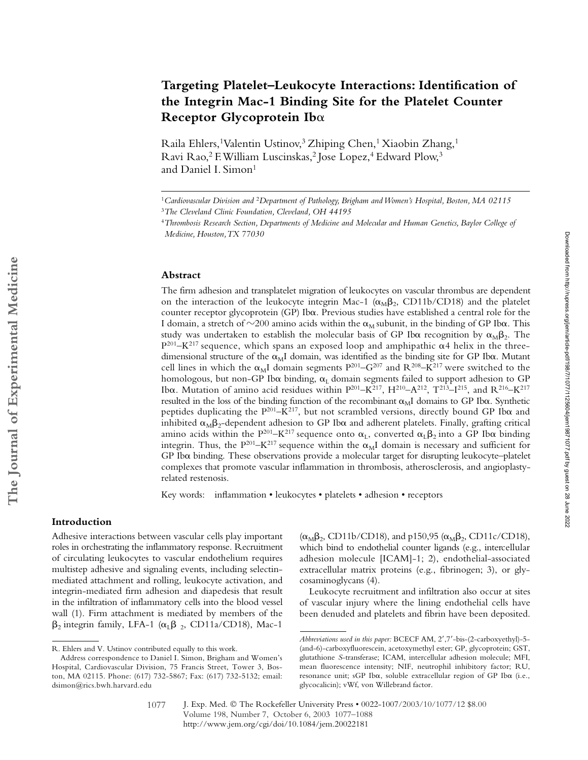# **Targeting Platelet–Leukocyte Interactions: Identification of the Integrin Mac-1 Binding Site for the Platelet Counter Receptor Glycoprotein Ib**-

Raila Ehlers,<sup>1</sup> Valentin Ustinov,<sup>3</sup> Zhiping Chen,<sup>1</sup> Xiaobin Zhang,<sup>1</sup> Ravi Rao,<sup>2</sup> F. William Luscinskas,<sup>2</sup> Jose Lopez,<sup>4</sup> Edward Plow,<sup>3</sup> and Daniel I. Simon<sup>1</sup>

#### **Abstract**

The firm adhesion and transplatelet migration of leukocytes on vascular thrombus are dependent on the interaction of the leukocyte integrin Mac-1 ( $\alpha_M\beta_2$ , CD11b/CD18) and the platelet counter receptor glycoprotein (GP) Ib $\alpha$ . Previous studies have established a central role for the I domain, a stretch of  $\sim$ 200 amino acids within the  $\alpha_M$  subunit, in the binding of GP Ib $\alpha$ . This study was undertaken to establish the molecular basis of GP Ib $\alpha$  recognition by  $\alpha_{\text{M}}\beta_2$ . The  $P^{201}$ –K<sup>217</sup> sequence, which spans an exposed loop and amphipathic  $\alpha$ 4 helix in the threedimensional structure of the  $\alpha_M I$  domain, was identified as the binding site for GP Ib $\alpha$ . Mutant cell lines in which the  $\alpha_M I$  domain segments  $P^{201}$ –G<sup>207</sup> and R<sup>208</sup>–K<sup>217</sup> were switched to the homologous, but non-GP Ib $\alpha$  binding,  $\alpha_{\text{L}}$  domain segments failed to support adhesion to GP Ib $\alpha$ . Mutation of amino acid residues within  $P^{201}$ –K $^{217}$ ,  $H^{210}$ –A $^{212}$ ,  $T^{213}$ –I $^{215}$ , and R $^{216}$ –K $^{217}$ resulted in the loss of the binding function of the recombinant  $\alpha_M I$  domains to GP Ib $\alpha$ . Synthetic peptides duplicating the  $P^{201} - K^{217}$ , but not scrambled versions, directly bound GP Ib $\alpha$  and inhibited  $\alpha_{\rm M} \beta_2$ -dependent adhesion to GP Ib $\alpha$  and adherent platelets. Finally, grafting critical amino acids within the P $^{201}$ –K $^{217}$  sequence onto  $\alpha_{\rm L}$ , converted  $\alpha_{\rm L}\beta_2$  into a GP Ib $\alpha$  binding integrin. Thus, the  $P^{201} - K^{217}$  sequence within the  $\alpha_M I$  domain is necessary and sufficient for GP Ib $\alpha$  binding. These observations provide a molecular target for disrupting leukocyte–platelet complexes that promote vascular inflammation in thrombosis, atherosclerosis, and angioplastyrelated restenosis.

Key words: inflammation • leukocytes • platelets • adhesion • receptors

## **Introduction**

Adhesive interactions between vascular cells play important roles in orchestrating the inflammatory response. Recruitment of circulating leukocytes to vascular endothelium requires multistep adhesive and signaling events, including selectinmediated attachment and rolling, leukocyte activation, and integrin-mediated firm adhesion and diapedesis that result in the infiltration of inflammatory cells into the blood vessel wall (1). Firm attachment is mediated by members of the  $\beta_2$  integrin family, LFA-1 ( $\alpha_L\beta_2$ , CD11a/CD18), Mac-1

 $(\alpha_M \beta_2, CD11b/CD18)$ , and p150,95  $(\alpha_M \beta_2, CD11c/CD18)$ , which bind to endothelial counter ligands (e.g., intercellular adhesion molecule [ICAM]-1; 2), endothelial-associated extracellular matrix proteins (e.g., fibrinogen; 3), or glycosaminoglycans (4).

Leukocyte recruitment and infiltration also occur at sites of vascular injury where the lining endothelial cells have been denuded and platelets and fibrin have been deposited.

<sup>1</sup>*Cardiovascular Division and* <sup>2</sup>*Department of Pathology, Brigham and Women's Hospital, Boston, MA 02115* <sup>3</sup>*The Cleveland Clinic Foundation, Cleveland, OH 44195*

<sup>4</sup>*Thrombosis Research Section, Departments of Medicine and Molecular and Human Genetics, Baylor College of* 

*Medicine, Houston, TX 77030*

R. Ehlers and V. Ustinov contributed equally to this work.

Address correspondence to Daniel I. Simon, Brigham and Women's Hospital, Cardiovascular Division, 75 Francis Street, Tower 3, Boston, MA 02115. Phone: (617) 732-5867; Fax: (617) 732-5132; email: dsimon@rics.bwh.harvard.edu

*Abbreviations used in this paper:* BCECF AM, 2',7'-bis-(2-carboxyethyl)-5-(and-6)-carboxyfluorescein, acetoxymethyl ester; GP, glycoprotein; GST, glutathione *S*-transferase; ICAM, intercellular adhesion molecule; MFI, mean fluorescence intensity; NIF, neutrophil inhibitory factor; RU, resonance unit; sGP Iba, soluble extracellular region of GP Iba (i.e., glycocalicin); vWf, von Willebrand factor.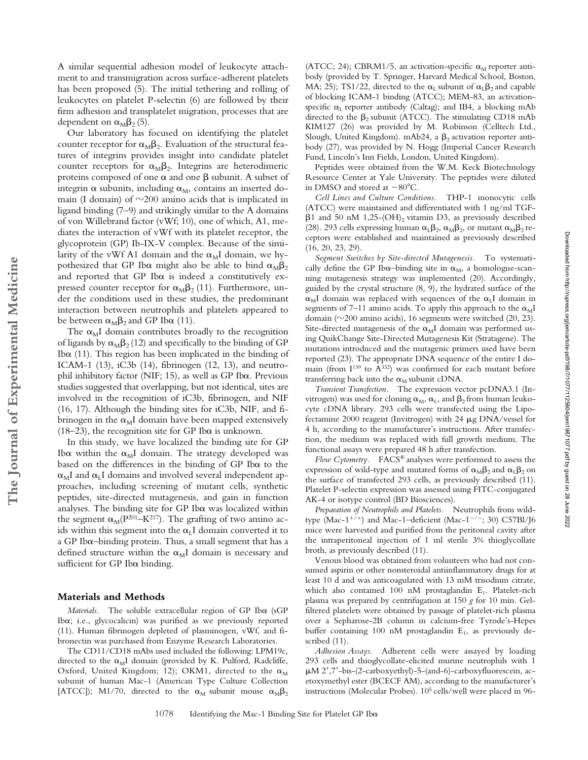A similar sequential adhesion model of leukocyte attachment to and transmigration across surface-adherent platelets has been proposed (5). The initial tethering and rolling of leukocytes on platelet P-selectin (6) are followed by their firm adhesion and transplatelet migration, processes that are dependent on  $\alpha_{\text{M}}\beta_2(5)$ .

Our laboratory has focused on identifying the platelet counter receptor for  $\alpha_{\text{M}}\beta_2$ . Evaluation of the structural features of integrins provides insight into candidate platelet counter receptors for  $\alpha_M \beta_2$ . Integrins are heterodimeric proteins composed of one  $\alpha$  and one  $\beta$  subunit. A subset of integrin  $\alpha$  subunits, including  $\alpha_M$ , contains an inserted domain (I domain) of  $\sim$ 200 amino acids that is implicated in ligand binding (7–9) and strikingly similar to the A domains of von Willebrand factor (vWf; 10), one of which, A1, mediates the interaction of vWf with its platelet receptor, the glycoprotein (GP) Ib-IX-V complex. Because of the similarity of the vWf A1 domain and the  $\alpha_M I$  domain, we hypothesized that GP Ib $\alpha$  might also be able to bind  $\alpha_{\text{M}}\beta_2$ and reported that GP Ib $\alpha$  is indeed a constitutively expressed counter receptor for  $\alpha_M \beta_2$  (11). Furthermore, under the conditions used in these studies, the predominant interaction between neutrophils and platelets appeared to be between  $\alpha_{\text{M}}\beta_2$  and GP Ib $\alpha$  (11).

The  $\alpha_M$ I domain contributes broadly to the recognition of ligands by  $\alpha_M \beta_2$  (12) and specifically to the binding of GP Ib $\alpha$  (11). This region has been implicated in the binding of ICAM-1 (13), iC3b (14), fibrinogen (12, 13), and neutrophil inhibitory factor (NIF; 15), as well as GP Ib $\alpha$ . Previous studies suggested that overlapping, but not identical, sites are involved in the recognition of iC3b, fibrinogen, and NIF (16, 17). Although the binding sites for iC3b, NIF, and fibrinogen in the  $\alpha_M$ I domain have been mapped extensively  $(18-23)$ , the recognition site for GP Ib $\alpha$  is unknown.

In this study, we have localized the binding site for GP Ib $\alpha$  within the  $\alpha_M I$  domain. The strategy developed was based on the differences in the binding of GP Iba to the  $\alpha_{\rm M}$ I and  $\alpha_{\rm L}$ I domains and involved several independent approaches, including screening of mutant cells, synthetic peptides, site-directed mutagenesis, and gain in function analyses. The binding site for GP Ib $\alpha$  was localized within the segment  $\alpha_M(P^{201}-K^{217})$ . The grafting of two amino acids within this segment into the  $\alpha_L I$  domain converted it to  $a$  GP Ib $\alpha$ –binding protein. Thus, a small segment that has a defined structure within the  $\alpha_M I$  domain is necessary and sufficient for GP Iba binding.

#### **Materials and Methods**

Materials. The soluble extracellular region of GP Iba (sGP Ib $\alpha$ ; i.e., glycocalicin) was purified as we previously reported (11). Human fibrinogen depleted of plasminogen, vWf, and fibronectin was purchased from Enzyme Research Laboratories.

The CD11/CD18 mAbs used included the following: LPM19c, directed to the  $\alpha_M I$  domain (provided by K. Pulford, Radcliffe, Oxford, United Kingdom; 12); OKM1, directed to the  $\alpha_M$ subunit of human Mac-1 (American Type Culture Collection [ATCC]); M1/70, directed to the  $\alpha_M$  subunit mouse  $\alpha_M \beta_2$ 

(ATCC; 24); CBRM1/5, an activation-specific  $\alpha_M$  reporter antibody (provided by T. Springer, Harvard Medical School, Boston, MA; 25); TS1/22, directed to the  $\alpha_L$  subunit of  $\alpha_L \beta_2$  and capable of blocking ICAM-1 binding (ATCC); MEM-83, an activationspecific  $\alpha_L$  reporter antibody (Caltag); and IB4, a blocking mAb directed to the  $\beta_2$  subunit (ATCC). The stimulating CD18 mAb KIM127 (26) was provided by M. Robinson (Celltech Ltd., Slough, United Kingdom). mAb24, a  $\beta_2$  activation reporter antibody (27), was provided by N. Hogg (Imperial Cancer Research Fund, Lincoln's Inn Fields, London, United Kingdom).

Peptides were obtained from the W.M. Keck Biotechnology Resource Center at Yale University. The peptides were diluted in DMSO and stored at  $-80^{\circ}$ C.

*Cell Lines and Culture Conditions.* THP-1 monocytic cells (ATCC) were maintained and differentiated with 1 ng/ml TGF-  $\beta$ 1 and 50 nM 1,25-(OH)<sub>2</sub> vitamin D3, as previously described (28). 293 cells expressing human  $\alpha_L \beta_2$ ,  $\alpha_M \beta_2$ , or mutant  $\alpha_M \beta_2$  receptors were established and maintained as previously described (16, 20, 23, 29).

*Segment Switches by Site-directed Mutagenesis.* To systematically define the GP Ib $\alpha$ -binding site in  $\alpha_M$ , a homologue-scanning mutagenesis strategy was implemented (20). Accordingly, guided by the crystal structure (8, 9), the hydrated surface of the  $\alpha_M$ I domain was replaced with sequences of the  $\alpha_L$ I domain in segments of 7–11 amino acids. To apply this approach to the  $\alpha_{\rm M}$ I domain ( $\sim$ 200 amino acids), 16 segments were switched (20, 23). Site-directed mutagenesis of the  $\alpha_M I$  domain was performed using QuikChange Site-Directed Mutagenesis Kit (Stratagene). The mutations introduced and the mutagenic primers used have been reported (23). The appropriate DNA sequence of the entire I domain (from  $I^{139}$  to  $\overline{A}^{332}$ ) was confirmed for each mutant before transferring back into the  $\alpha_M$  subunit cDNA.

*Transient Transfection.* The expression vector pcDNA3.1 (Invitrogen) was used for cloning  $\alpha_{\text{M}}, \alpha_{\text{L}}$ , and  $\beta_2$  from human leukocyte cDNA library. 293 cells were transfected using the Lipofectamine 2000 reagent (Invitrogen) with 24  $\mu$ g DNA/vessel for 4 h, according to the manufacturer's instructions. After transfection, the medium was replaced with full growth medium. The functional assays were prepared 48 h after transfection.

Downloaded from http://rupress.org/jem/article-pdf/198/7/1077/1125604/jem19871077.pdf by guest on 28 June 2022 Downloaded from http://rupress.org/jem/article-pdf/198/7/1077/1125604/jem19871077.pdf by guest on 28 June 2022

*Flow Cytometry.* FACS® analyses were performed to assess the expression of wild-type and mutated forms of  $\alpha_{\text{M}}\beta_2$  and  $\alpha_{\text{L}}\beta_2$  on the surface of transfected 293 cells, as previously described (11). Platelet P-selectin expression was assessed using FITC-conjugated AK-4 or isotype control (BD Biosciences).

*Preparation of Neutrophils and Platelets.* Neutrophils from wildtype (Mac-1<sup>+/+</sup>) and Mac-1–deficient (Mac-1<sup>-/-</sup>; 30) C57Bl/J6 mice were harvested and purified from the peritoneal cavity after the intraperitoneal injection of 1 ml sterile 3% thioglycollate broth, as previously described (11).

Venous blood was obtained from volunteers who had not consumed aspirin or other nonsteroidal antiinflammatory drugs for at least 10 d and was anticoagulated with 13 mM trisodium citrate, which also contained 100 nM prostaglandin  $E_1$ . Platelet-rich plasma was prepared by centrifugation at 150 *g* for 10 min. Gelfiltered platelets were obtained by passage of platelet-rich plasma over a Sepharose-2B column in calcium-free Tyrode's-Hepes buffer containing 100 nM prostaglandin  $E_1$ , as previously described (11).

*Adhesion Assays.* Adherent cells were assayed by loading 293 cells and thioglycollate-elicited murine neutrophils with 1  $\mu$ M 2',7'-bis-(2-carboxyethyl)-5-(and-6)-carboxyfluorescein, acetoxymethyl ester (BCECF AM), according to the manufacturer's instructions (Molecular Probes). 105 cells/well were placed in 96-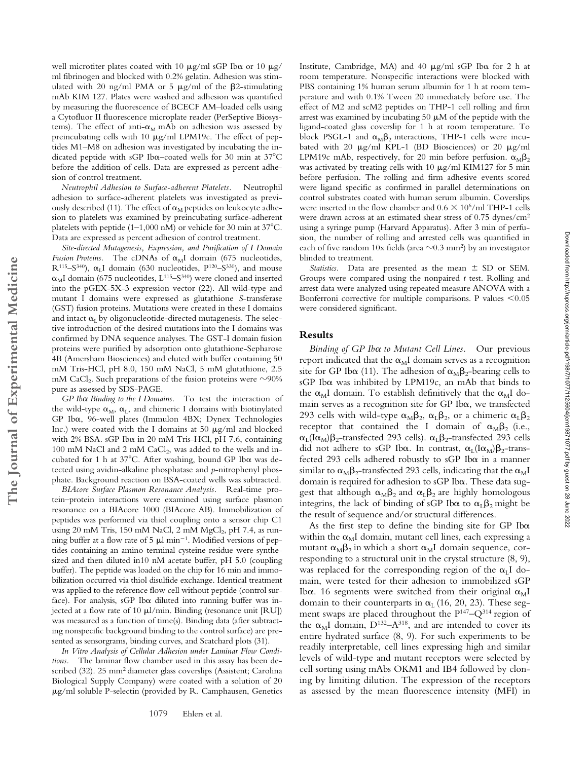well microtiter plates coated with 10  $\mu$ g/ml sGP Ib $\alpha$  or 10  $\mu$ g/ ml fibrinogen and blocked with 0.2% gelatin. Adhesion was stimulated with 20 ng/ml PMA or 5  $\mu$ g/ml of the  $\beta$ 2-stimulating mAb KIM 127. Plates were washed and adhesion was quantified by measuring the fluorescence of BCECF AM–loaded cells using a Cytofluor II fluorescence microplate reader (PerSeptive Biosystems). The effect of anti- $\alpha_M$  mAb on adhesion was assessed by preincubating cells with 10  $\mu$ g/ml LPM19c. The effect of peptides M1–M8 on adhesion was investigated by incubating the indicated peptide with sGP Ib $\alpha$ -coated wells for 30 min at 37°C before the addition of cells. Data are expressed as percent adhesion of control treatment.

*Neutrophil Adhesion to Surface-adherent Platelets.* Neutrophil adhesion to surface-adherent platelets was investigated as previously described (11). The effect of  $\alpha_M$  peptides on leukocyte adhesion to platelets was examined by preincubating surface-adherent platelets with peptide (1-1,000 nM) or vehicle for 30 min at  $37^{\circ}$ C. Data are expressed as percent adhesion of control treatment.

*Site-directed Mutagenesis, Expression, and Purification of I Domain Fusion Proteins.* The cDNAs of  $\alpha_M I$  domain (675 nucleotides,  $R^{115}-S^{340}$ ),  $\alpha_L I$  domain (630 nucleotides,  $P^{120}-S^{330}$ ), and mouse  $\alpha_{\text{M}}$ I domain (675 nucleotides, L<sup>115</sup>–S<sup>340</sup>) were cloned and inserted into the pGEX-5X-3 expression vector (22). All wild-type and mutant I domains were expressed as glutathione *S*-transferase (GST) fusion proteins. Mutations were created in these I domains and intact  $\alpha_{\rm L}$  by oligonucleotide-directed mutagenesis. The selective introduction of the desired mutations into the I domains was confirmed by DNA sequence analyses. The GST-I domain fusion proteins were purified by adsorption onto glutathione-Sepharose 4B (Amersham Biosciences) and eluted with buffer containing 50 mM Tris-HCl, pH 8.0, 150 mM NaCl, 5 mM glutathione, 2.5 mM CaCl<sub>2</sub>. Such preparations of the fusion proteins were  $\sim$ 90% pure as assessed by SDS-PAGE.

GP Ib $\alpha$  Binding to the I Domains. To test the interaction of the wild-type  $\alpha_M$ ,  $\alpha_L$ , and chimeric I domains with biotinylated GP Iba, 96-well plates (Immulon 4BX; Dynex Technologies Inc.) were coated with the I domains at 50  $\mu$ g/ml and blocked with  $2\%$  BSA. sGP Ib $\alpha$  in 20 mM Tris-HCl, pH 7.6, containing 100 mM NaCl and 2 mM CaCl<sub>2</sub>, was added to the wells and incubated for 1 h at  $37^{\circ}$ C. After washing, bound GP Ib $\alpha$  was detected using avidin-alkaline phosphatase and *p*-nitrophenyl phosphate. Background reaction on BSA-coated wells was subtracted.

**The Journal of Experimental Medicine**

The Journal of Experimental Medicine

*BIAcore Surface Plasmon Resonance Analysis.* Real-time protein–protein interactions were examined using surface plasmon resonance on a BIAcore 1000 (BIAcore AB). Immobilization of peptides was performed via thiol coupling onto a sensor chip C1 using 20 mM Tris, 150 mM NaCl, 2 mM  $MgCl<sub>2</sub>$ , pH 7.4, as running buffer at a flow rate of 5  $\mu$ l min<sup>-1</sup>. Modified versions of peptides containing an amino-terminal cysteine residue were synthesized and then diluted in10 nM acetate buffer, pH 5.0 (coupling buffer). The peptide was loaded on the chip for 16 min and immobilization occurred via thiol disulfide exchange. Identical treatment was applied to the reference flow cell without peptide (control surface). For analysis, sGP Ib $\alpha$  diluted into running buffer was injected at a flow rate of 10  $\mu$ l/min. Binding (resonance unit [RU]) was measured as a function of time(s). Binding data (after subtracting nonspecific background binding to the control surface) are presented as sensorgrams, binding curves, and Scatchard plots (31).

*In Vitro Analysis of Cellular Adhesion under Laminar Flow Conditions.* The laminar flow chamber used in this assay has been described (32). 25 mm2 diameter glass coverslips (Assistent; Carolina Biological Supply Company) were coated with a solution of 20 g/ml soluble P-selectin (provided by R. Camphausen, Genetics

Institute, Cambridge, MA) and 40  $\mu$ g/ml sGP Ib $\alpha$  for 2 h at room temperature. Nonspecific interactions were blocked with PBS containing 1% human serum albumin for 1 h at room temperature and with 0.1% Tween 20 immediately before use. The effect of M2 and scM2 peptides on THP-1 cell rolling and firm arrest was examined by incubating 50  $\mu$ M of the peptide with the ligand-coated glass coverslip for 1 h at room temperature. To block PSGL-1 and  $\alpha_{\text{M}}\beta_2$  interactions, THP-1 cells were incubated with 20  $\mu$ g/ml KPL-1 (BD Biosciences) or 20  $\mu$ g/ml LPM19c mAb, respectively, for 20 min before perfusion.  $\alpha_{\text{M}}\beta_2$ was activated by treating cells with 10  $\mu$ g/ml KIM127 for 5 min before perfusion. The rolling and firm adhesive events scored were ligand specific as confirmed in parallel determinations on control substrates coated with human serum albumin. Coverslips were inserted in the flow chamber and  $0.6 \times 10^6$ /ml THP-1 cells were drawn across at an estimated shear stress of 0.75 dynes/cm2 using a syringe pump (Harvard Apparatus). After 3 min of perfusion, the number of rolling and arrested cells was quantified in each of five random  $10x$  fields (area  $\sim$ 0.3 mm²) by an investigator blinded to treatment.

Statistics. Data are presented as the mean  $\pm$  SD or SEM. Groups were compared using the nonpaired *t* test. Rolling and arrest data were analyzed using repeated measure ANOVA with a Bonferroni corrective for multiple comparisons. P values  $\leq 0.05$ were considered significant.

## **Results**

Binding of GP Ib $\alpha$  to Mutant Cell Lines. Our previous report indicated that the  $\alpha_\mathrm{M}$ I domain serves as a recognition site for GP Ib $\alpha$  (11). The adhesion of  $\alpha_{\text{M}}\beta_2$ -bearing cells to  $sGP$  Ib $\alpha$  was inhibited by LPM19c, an mAb that binds to the  $\alpha_M$ I domain. To establish definitively that the  $\alpha_M$ I domain serves as a recognition site for  $GP$  Ib $\alpha$ , we transfected 293 cells with wild-type  $\alpha_{\text{M}}\beta_2$ ,  $\alpha_{\text{L}}\beta_2$ , or a chimeric  $\alpha_{\text{L}}\beta_2$ receptor that contained the I domain of  $\alpha_{\text{M}}\beta_2$  (i.e.,  $\alpha_{\text{L}}(\text{I}\alpha_{\text{M}})\beta_{2}$ -transfected 293 cells).  $\alpha_{\text{L}}\beta_{2}$ -transfected 293 cells did not adhere to sGP Ib $\alpha$ . In contrast,  $\alpha_L$ (I $\alpha_M$ ) $\beta_2$ -transfected  $293$  cells adhered robustly to sGP Ib $\alpha$  in a manner similar to  $\alpha_{\rm M} \beta_2$ -transfected 293 cells, indicating that the  $\alpha_{\rm M}$ I domain is required for adhesion to sGP Ib $\alpha$ . These data suggest that although  $\alpha_{\text{M}}\beta_2$  and  $\alpha_{\text{L}}\beta_2$  are highly homologous integrins, the lack of binding of sGP Ib $\alpha$  to  $\alpha_L \beta_2$  might be the result of sequence and/or structural differences.

As the first step to define the binding site for GP Ib $\alpha$ within the  $\alpha_M I$  domain, mutant cell lines, each expressing a mutant  $\alpha_{\rm M} \beta_2$  in which a short  $\alpha_{\rm M}$ I domain sequence, corresponding to a structural unit in the crystal structure (8, 9), was replaced for the corresponding region of the  $\alpha_L I$  domain, were tested for their adhesion to immobilized sGP Ib $\alpha$ . 16 segments were switched from their original  $\alpha_M I$ domain to their counterparts in  $\alpha_L$  (16, 20, 23). These segment swaps are placed throughout the  $P^{147}-Q^{314}$  region of the  $\alpha_M$ I domain,  $D^{132}$ – $A^{318}$ , and are intended to cover its entire hydrated surface (8, 9). For such experiments to be readily interpretable, cell lines expressing high and similar levels of wild-type and mutant receptors were selected by cell sorting using mAbs OKM1 and IB4 followed by cloning by limiting dilution. The expression of the receptors as assessed by the mean fluorescence intensity (MFI) in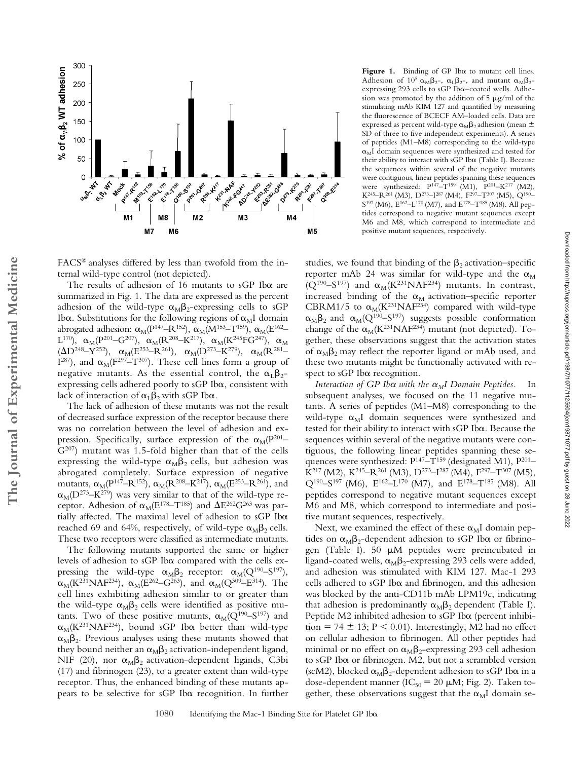

Figure 1. Binding of GP Iba to mutant cell lines. Adhesion of  $10^5 \alpha_M \beta_{2}$ ,  $\alpha_L \beta_{2}$ , and mutant  $\alpha_M \beta_{2}$ expressing 293 cells to sGP Ib $\alpha$ -coated wells. Adhesion was promoted by the addition of 5  $\mu$ g/ml of the stimulating mAb KIM 127 and quantified by measuring the fluorescence of BCECF AM–loaded cells. Data are expressed as percent wild-type  $\alpha_{\rm M}\beta_2$  adhesion (mean  $\pm$ SD of three to five independent experiments). A series of peptides (M1–M8) corresponding to the wild-type  $\alpha_M$ I domain sequences were synthesized and tested for their ability to interact with sGP Ib $\alpha$  (Table I). Because the sequences within several of the negative mutants were contiguous, linear peptides spanning these sequences were synthesized:  $P^{147}-T^{159}$  (M1),  $P^{201}-K^{217}$  (M2),  $K^{245}$ – $R^{261}$  (M3), D<sup>273</sup>– $I^{287}$  (M4),  $F^{297}$ – $T^{307}$  (M5),  $Q^{190}$ –  $S^{197}$  (M6),  $E^{162}$ -L<sup>170</sup> (M7), and  $E^{178}$ -T<sup>185</sup> (M8). All peptides correspond to negative mutant sequences except M6 and M8, which correspond to intermediate and positive mutant sequences, respectively.

FACS® analyses differed by less than twofold from the internal wild-type control (not depicted).

The results of adhesion of 16 mutants to  $sGP$  Ib $\alpha$  are summarized in Fig. 1. The data are expressed as the percent adhesion of the wild-type  $\alpha_M \beta_2$ -expressing cells to sGP Ib $\alpha$ . Substitutions for the following regions of  $\alpha_M I$  domain abrogated adhesion:  $\alpha_{\rm M}({\rm P}^{147}\!\!-\!\!{\rm R}^{152}), \, \alpha_{\rm M}({\rm M}^{153}\!\!-\!\!{\rm T}^{159}), \, \alpha_{\rm M}({\rm E}^{162}\!\!-\!\!$  $\rm L^{170}$ ),  $\rm \alpha_M(P^{201} \rm - G^{207})$ ,  $\rm \alpha_M(R^{208} \rm - K^{217})$ ,  $\rm \alpha_M(K^{245}FG^{247})$ ,  $\rm \alpha_M$  $(\Delta D^{248} - Y^{252})$ ,  $\alpha_M (E^{253} - R^{261})$ ,  $\alpha_M (D^{273} - K^{279})$ ,  $\alpha_M (R^{281} I^{287}$ ), and  $\alpha_M(F^{297}-T^{307})$ . These cell lines form a group of negative mutants. As the essential control, the  $\alpha_{L}\beta_{2}$ expressing cells adhered poorly to sGP Iba, consistent with lack of interaction of  $\alpha_{L}\beta_{2}$  with sGP Ib $\alpha$ .

The lack of adhesion of these mutants was not the result of decreased surface expression of the receptor because there was no correlation between the level of adhesion and expression. Specifically, surface expression of the  $\alpha_{\text{M}}(P^{201}-)$  $G<sup>207</sup>$ ) mutant was 1.5-fold higher than that of the cells expressing the wild-type  $\alpha_{\text{M}}\beta_2$  cells, but adhesion was abrogated completely. Surface expression of negative mutants,  $\alpha_M(P^{147} - R^{152})$ ,  $\alpha_M(R^{208} - K^{217})$ ,  $\alpha_M(E^{253} - R^{261})$ , and  $\alpha_{\rm M}$ (D<sup>273</sup>–K<sup>279</sup>) was very similar to that of the wild-type receptor. Adhesion of  $\alpha_M (E^{178}-T^{185})$  and  $\Delta E^{262}G^{263}$  was partially affected. The maximal level of adhesion to sGP Ib $\alpha$ reached 69 and 64%, respectively, of wild-type  $\alpha_M \beta_2$  cells. These two receptors were classified as intermediate mutants.

The following mutants supported the same or higher levels of adhesion to sGP Ib $\alpha$  compared with the cells expressing the wild-type  $\alpha_{\text{M}}\beta_2$  receptor:  $\alpha_{\text{M}}(Q^{190} - S^{197})$ ,  $\alpha_M$ (K<sup>231</sup>NAF<sup>234</sup>),  $\alpha_M$ (E<sup>262</sup>–G<sup>263</sup>), and  $\alpha_M$ (Q<sup>309</sup>–E<sup>314</sup>). The cell lines exhibiting adhesion similar to or greater than the wild-type  $\alpha_{\text{M}}\beta_2$  cells were identified as positive mutants. Two of these positive mutants,  $\alpha_M(Q^{190}-S^{197})$  and  $\alpha_{\text{M}}(\text{K}^{231}\text{N}\text{A}\text{F}^{234})$ , bound sGP Ib $\alpha$  better than wild-type  $\alpha_M\beta_2$ . Previous analyses using these mutants showed that they bound neither an  $\alpha_{\text{M}}\beta_2$  activation-independent ligand, NIF (20), nor  $\alpha_M\beta_2$  activation-dependent ligands, C3bi (17) and fibrinogen (23), to a greater extent than wild-type receptor. Thus, the enhanced binding of these mutants appears to be selective for sGP Iba recognition. In further studies, we found that binding of the  $\beta_2$  activation–specific reporter mAb 24 was similar for wild-type and the  $\alpha_{\text{M}}$  $(Q^{190}-S^{197})$  and  $\alpha_M(K^{231}NAF^{234})$  mutants. In contrast, increased binding of the  $\alpha_M$  activation–specific reporter CBRM1/5 to  $\alpha_M(K^{231}NAF^{234})$  compared with wild-type  $\alpha_{\text{M}}\beta_2$  and  $\alpha_{\text{M}}(Q^{190}-S^{197})$  suggests possible conformation change of the  $\alpha_M(K^{231}NAF^{234})$  mutant (not depicted). Together, these observations suggest that the activation states of  $\alpha_{\text{M}}\beta_2$  may reflect the reporter ligand or mAb used, and these two mutants might be functionally activated with respect to  $sGP$  Ib $\alpha$  recognition.

*Interaction of GP Ib* $\alpha$  *with the*  $\alpha_M$ *I Domain Peptides.* In subsequent analyses, we focused on the 11 negative mutants. A series of peptides (M1–M8) corresponding to the wild-type  $\alpha_M I$  domain sequences were synthesized and tested for their ability to interact with sGP Iba. Because the sequences within several of the negative mutants were contiguous, the following linear peptides spanning these sequences were synthesized:  $P^{147}$ – $T^{159}$  (designated M1),  $P^{201}$ –  $\hat{K}^{217}$  (M2),  $K^{245}$ – $R^{261}$  (M3),  $D^{273}$ – $I^{287}$  (M4),  $F^{297}$ – $T^{307}$  (M5),  $Q^{190}$ -S<sup>197</sup> (M6), E<sup>162</sup>-L<sup>170</sup> (M7), and E<sup>178</sup>-T<sup>185</sup> (M8). All peptides correspond to negative mutant sequences except M6 and M8, which correspond to intermediate and positive mutant sequences, respectively.

Next, we examined the effect of these  $\alpha_M I$  domain peptides on  $\alpha_{\text{M}}\beta_2$ -dependent adhesion to sGP Ib $\alpha$  or fibrinogen (Table I). 50  $\mu$ M peptides were preincubated in ligand-coated wells,  $\alpha_{\text{M}}\beta_2$ -expressing 293 cells were added, and adhesion was stimulated with KIM 127. Mac-1 293 cells adhered to sGP Ib $\alpha$  and fibrinogen, and this adhesion was blocked by the anti-CD11b mAb LPM19c, indicating that adhesion is predominantly  $\alpha_{\text{M}}\beta_2$  dependent (Table I). Peptide M2 inhibited adhesion to sGP Ib $\alpha$  (percent inhibi- $\text{tion} = 74 \pm 13$ ;  $P \le 0.01$ ). Interestingly, M2 had no effect on cellular adhesion to fibrinogen. All other peptides had minimal or no effect on  $\alpha_{\text{M}}\beta_2$ -expressing 293 cell adhesion to sGP Ib $\alpha$  or fibrinogen. M2, but not a scrambled version (scM2), blocked  $\alpha_M\beta_2$ -dependent adhesion to sGP Ib $\alpha$  in a dose-dependent manner ( $IC_{50} = 20 \mu M$ ; Fig. 2). Taken together, these observations suggest that the  $\alpha_M I$  domain seDownloaded from http://rupress.org/jem/article-pdf/198/7/1077/1125604/jem19871077.pdf by guest on 28 June 2022

Downloaded from http://rupress.org/jenr/article-pdf/198/7/1077/1125604/jem19871077.pdf by guest on 28 June 2022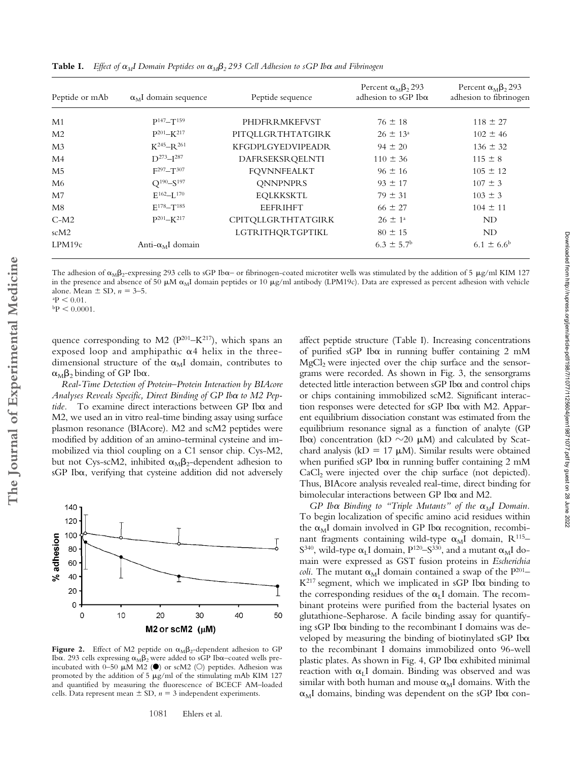| Peptide or mAb | $\alpha_M$ I domain sequence | Peptide sequence          | Percent $\alpha_M \beta_2$ 293<br>adhesion to sGP Ib $\alpha$ | Percent $\alpha_M \beta_2$ 293<br>adhesion to fibrinogen |
|----------------|------------------------------|---------------------------|---------------------------------------------------------------|----------------------------------------------------------|
| M1             | $P147 - T159$                | PHDFRRMKEFVST             | $76 \pm 18$                                                   | $118 \pm 27$                                             |
| M <sub>2</sub> | $P^{201} - K^{217}$          | PITQLLGRTHTATGIRK         | $26 \pm 13^{\circ}$                                           | $102 \pm 46$                                             |
| M <sub>3</sub> | $K^{245}$ -R $^{261}$        | <b>KFGDPLGYEDVIPEADR</b>  | $94 \pm 20$                                                   | $136 \pm 32$                                             |
| M4             | $D^{273} - I^{287}$          | DAFRSEKSRQELNTI           | $110 \pm 36$                                                  | $115 \pm 8$                                              |
| M <sub>5</sub> | $F^{297} - T^{307}$          | <b>FQVNNFEALKT</b>        | $96 \pm 16$                                                   | $105 \pm 12$                                             |
| M6             | $Q^{190} - S^{197}$          | <b>QNNPNPRS</b>           | $93 \pm 17$                                                   | $107 \pm 3$                                              |
| M <sub>7</sub> | $E^{162} - L^{170}$          | <b>EOLKKSKTL</b>          | $79 \pm 31$                                                   | $103 \pm 3$                                              |
| M8             | $E^{178} - T^{185}$          | <b>EEFRIHFT</b>           | $66 \pm 27$                                                   | $104 \pm 11$                                             |
| $C-M2$         | $P^{201} - K^{217}$          | <b>CPITQLLGRTHTATGIRK</b> | $26 \pm 1^{\circ}$                                            | ND                                                       |
| scM2           |                              | LGTRITHQRTGPTIKL          | $80 \pm 15$                                                   | ND                                                       |
| LPM19c         | Anti- $\alpha_M I$ domain    |                           | $6.3 \pm 5.7$ <sup>b</sup>                                    | $6.1 \pm 6.6^{\rm b}$                                    |

**Table I.** Effect of  $\alpha_M$ I Domain Peptides on  $\alpha_M\beta_2$  293 Cell Adhesion to sGP Ib $\alpha$  and Fibrinogen

The adhesion of  $\alpha_{\text{M}}\beta_2$ -expressing 293 cells to sGP Ib $\alpha$ – or fibrinogen-coated microtiter wells was stimulated by the addition of 5 µg/ml KIM 127 in the presence and absence of 50  $\mu$ M  $\alpha_M$ I domain peptides or 10  $\mu$ g/ml antibody (LPM19c). Data are expressed as percent adhesion with vehicle alone. Mean  $\pm$  SD,  $n = 3$ –5.

 $P < 0.01$ .

 $\rm{^{b}P} \leq 0.0001$ .

quence corresponding to M2 ( $P^{201} – K^{217}$ ), which spans an exposed loop and amphipathic  $\alpha$ 4 helix in the threedimensional structure of the  $\alpha_M I$  domain, contributes to  $\alpha_{\text{M}}\beta_2$  binding of GP Ib $\alpha$ .

*Real-Time Detection of Protein–Protein Interaction by BIAcore*  $A$ nalyses Reveals Specific, Direct Binding of GP Ib $\alpha$  to M2 Peptide. To examine direct interactions between GP Iba and M2, we used an in vitro real-time binding assay using surface plasmon resonance (BIAcore). M2 and scM2 peptides were modified by addition of an amino-terminal cysteine and immobilized via thiol coupling on a C1 sensor chip. Cys-M2, but not Cys-scM2, inhibited  $\alpha_{\text{M}}\beta_2$ -dependent adhesion to  $sGP$  Ib $\alpha$ , verifying that cysteine addition did not adversely



**Figure 2.** Effect of M2 peptide on  $\alpha_M \beta_2$ -dependent adhesion to GP Ib $\alpha$ . 293 cells expressing  $\alpha_M \beta_2$  were added to sGP Ib $\alpha$ –coated wells preincubated with 0-50  $\mu$ M M2 ( $\bullet$ ) or scM2 ( $\circ$ ) peptides. Adhesion was promoted by the addition of 5  $\mu$ g/ml of the stimulating mAb KIM 127 and quantified by measuring the fluorescence of BCECF AM–loaded cells. Data represent mean  $\pm$  SD,  $n = 3$  independent experiments.

affect peptide structure (Table I). Increasing concentrations of purified sGP Ib $\alpha$  in running buffer containing 2 mM  $MgCl<sub>2</sub>$  were injected over the chip surface and the sensorgrams were recorded. As shown in Fig. 3, the sensorgrams detected little interaction between sGP Ib $\alpha$  and control chips or chips containing immobilized scM2. Significant interaction responses were detected for sGP Ib $\alpha$  with M2. Apparent equilibrium dissociation constant was estimated from the equilibrium resonance signal as a function of analyte (GP Ib $\alpha$ ) concentration (kD  $\sim$ 20  $\mu$ M) and calculated by Scatchard analysis (kD = 17  $\mu$ M). Similar results were obtained when purified sGP Ib $\alpha$  in running buffer containing 2 mM  $CaCl<sub>2</sub>$  were injected over the chip surface (not depicted). Thus, BIAcore analysis revealed real-time, direct binding for  $b$ imolecular interactions between GP Ib $\alpha$  and M2.

 $GP$  *Ib* $\alpha$  *Binding to "Triple Mutants" of the*  $\alpha_M I$  *Domain.* To begin localization of specific amino acid residues within the  $\alpha_M I$  domain involved in GP Ib $\alpha$  recognition, recombinant fragments containing wild-type  $\alpha_M I$  domain,  $R^{115}$ - $S^{340}$ , wild-type  $\alpha_L I$  domain,  $P^{120}$ – $S^{330}$ , and a mutant  $\alpha_M I$  domain were expressed as GST fusion proteins in *Escherichia coli*. The mutant  $\alpha_M I$  domain contained a swap of the  $P^{201}$ –  $K^{217}$  segment, which we implicated in sGP Ib $\alpha$  binding to the corresponding residues of the  $\alpha_L I$  domain. The recombinant proteins were purified from the bacterial lysates on glutathione-Sepharose. A facile binding assay for quantifying sGP Ib $\alpha$  binding to the recombinant I domains was developed by measuring the binding of biotinylated sGP Ib $\alpha$ to the recombinant I domains immobilized onto 96-well plastic plates. As shown in Fig. 4, GP Ib $\alpha$  exhibited minimal reaction with  $\alpha$ <sub>L</sub>I domain. Binding was observed and was similar with both human and mouse  $\alpha_M I$  domains. With the  $\alpha$ <sub>M</sub>I domains, binding was dependent on the sGP Ib $\alpha$  con-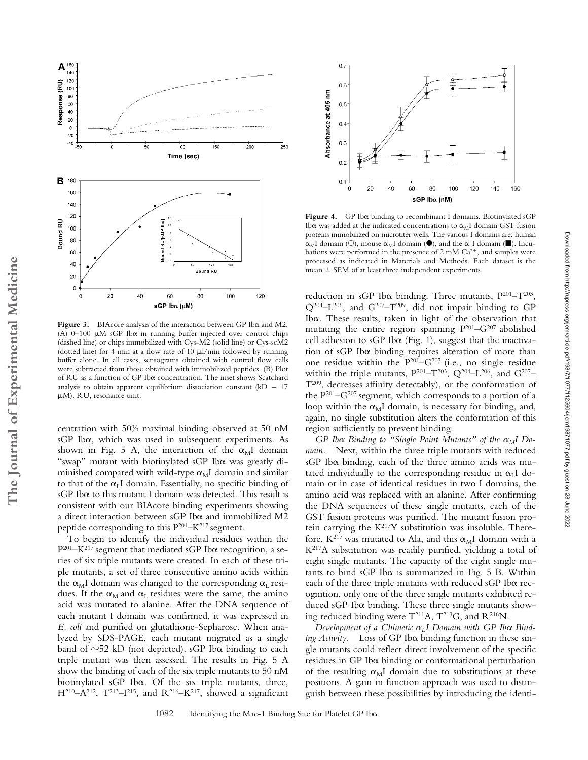

Figure 3. BIAcore analysis of the interaction between GP Ib $\alpha$  and M2. (A)  $0-100 \mu M$  sGP Ib $\alpha$  in running buffer injected over control chips (dashed line) or chips immobilized with Cys-M2 (solid line) or Cys-scM2 (dotted line) for 4 min at a flow rate of 10  $\mu$ l/min followed by running buffer alone. In all cases, sensograms obtained with control flow cells were subtracted from those obtained with immobilized peptides. (B) Plot of RU as a function of GP Ib $\alpha$  concentration. The inset shows Scatchard analysis to obtain apparent equilibrium dissociation constant  $(kD = 17)$ M). RU, resonance unit.

**The Journal of Experimental Medicine**

The Journal of Experimental Medicine

centration with 50% maximal binding observed at 50 nM sGP Iba, which was used in subsequent experiments. As shown in Fig. 5 A, the interaction of the  $\alpha_M I$  domain "swap" mutant with biotinylated sGP Ib $\alpha$  was greatly diminished compared with wild-type  $\alpha_{\text{M}}$ I domain and similar to that of the  $\alpha_L I$  domain. Essentially, no specific binding of sGP Ib $\alpha$  to this mutant I domain was detected. This result is consistent with our BIAcore binding experiments showing a direct interaction between sGP Ib $\alpha$  and immobilized M2 peptide corresponding to this P201–K217 segment.

To begin to identify the individual residues within the  $P^{201}$ -K<sup>217</sup> segment that mediated sGP Ib $\alpha$  recognition, a series of six triple mutants were created. In each of these triple mutants, a set of three consecutive amino acids within the  $\alpha_M$ I domain was changed to the corresponding  $\alpha_L$  residues. If the  $\alpha_M$  and  $\alpha_L$  residues were the same, the amino acid was mutated to alanine. After the DNA sequence of each mutant I domain was confirmed, it was expressed in *E. coli* and purified on glutathione-Sepharose. When analyzed by SDS-PAGE, each mutant migrated as a single band of  $\sim$ 52 kD (not depicted). sGP Ib $\alpha$  binding to each triple mutant was then assessed. The results in Fig. 5 A show the binding of each of the six triple mutants to 50 nM biotinylated sGP Iba. Of the six triple mutants, three,  $H^{210}-A^{212}$ ,  $T^{213}-I^{215}$ , and  $R^{216}-K^{217}$ , showed a significant



Figure 4. GP Iba binding to recombinant I domains. Biotinylated sGP Ib $\alpha$  was added at the indicated concentrations to  $\alpha_M I$  domain GST fusion proteins immobilized on microtiter wells. The various I domains are: human  $\alpha_M$ I domain (O), mouse  $\alpha_M$ I domain ( $\bullet$ ), and the  $\alpha_L$ I domain ( $\bullet$ ). Incubations were performed in the presence of  $2 \text{ mM } Ca^{2+}$ , and samples were processed as indicated in Materials and Methods. Each dataset is the  $mean \pm SEM$  of at least three independent experiments.

reduction in sGP Ib $\alpha$  binding. Three mutants,  $P^{201} - T^{203}$ ,  $Q^{204}$ -L<sup>206</sup>, and  $G^{207}$ -T<sup>209</sup>, did not impair binding to GP Iba. These results, taken in light of the observation that mutating the entire region spanning  $P^{201}-G^{207}$  abolished cell adhesion to sGP Ib $\alpha$  (Fig. 1), suggest that the inactivation of  $sGP$  Ib $\alpha$  binding requires alteration of more than one residue within the  $P^{201}-G^{207}$  (i.e., no single residue within the triple mutants,  $P^{201} - T^{203}$ ,  $Q^{204} - L^{206}$ , and  $G^{207} -$ T209, decreases affinity detectably), or the conformation of the  $P^{201}$ – $G^{207}$  segment, which corresponds to a portion of a loop within the  $\alpha_M I$  domain, is necessary for binding, and, again, no single substitution alters the conformation of this region sufficiently to prevent binding.

 $GP$  *Ib* $\alpha$  *Binding to "Single Point Mutants" of the*  $\alpha_M I$  *Domain.* Next, within the three triple mutants with reduced sGP Iba binding, each of the three amino acids was mutated individually to the corresponding residue in  $\alpha_L I$  domain or in case of identical residues in two I domains, the amino acid was replaced with an alanine. After confirming the DNA sequences of these single mutants, each of the GST fusion proteins was purified. The mutant fusion protein carrying the  $K^{217}Y$  substitution was insoluble. Therefore,  $K^{217}$  was mutated to Ala, and this  $\alpha_M I$  domain with a  $K<sup>217</sup>A$  substitution was readily purified, yielding a total of eight single mutants. The capacity of the eight single mu $t$ ants to bind s $GP$  Ib $\alpha$  is summarized in Fig. 5 B. Within each of the three triple mutants with reduced sGP Iba recognition, only one of the three single mutants exhibited reduced sGP Ib $\alpha$  binding. These three single mutants showing reduced binding were  $T^{211}A$ ,  $T^{213}G$ , and  $R^{216}N$ .

Development of a Chimeric  $\alpha_L I$  Domain with GP Ib $\alpha$  Binding Activity. Loss of GP Ib $\alpha$  binding function in these single mutants could reflect direct involvement of the specific  $residues$  in GP Ib $\alpha$  binding or conformational perturbation of the resulting  $\alpha_M I$  domain due to substitutions at these positions. A gain in function approach was used to distinguish between these possibilities by introducing the identi-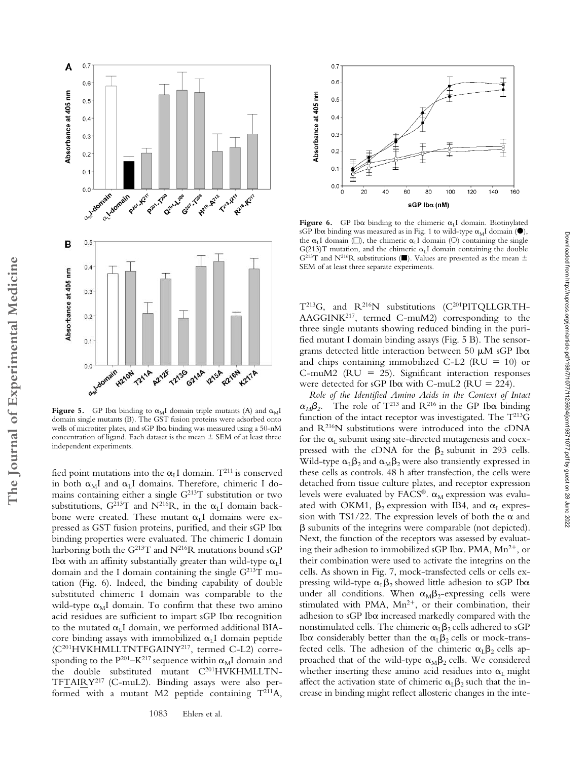

**Figure 5.** GP Ib $\alpha$  binding to  $\alpha_M I$  domain triple mutants (A) and  $\alpha_M I$ domain single mutants (B). The GST fusion proteins were adsorbed onto wells of microtiter plates, and  $sGP$  Ib $\alpha$  binding was measured using a 50-nM concentration of ligand. Each dataset is the mean  $\pm$  SEM of at least three independent experiments.

**The Journal of Experimental Medicine**

The Journal of Experimental Medicine

fied point mutations into the  $\alpha_L I$  domain.  $T^{211}$  is conserved in both  $\alpha_M I$  and  $\alpha_L I$  domains. Therefore, chimeric I domains containing either a single  $G^{213}T$  substitution or two substitutions,  $G^{213}T$  and  $N^{216}R$ , in the  $\alpha_L I$  domain backbone were created. These mutant  $\alpha_L I$  domains were expressed as GST fusion proteins, purified, and their sGP Ibox binding properties were evaluated. The chimeric I domain harboring both the  $G^{213}T$  and  $N^{216}R$  mutations bound sGP Ib $\alpha$  with an affinity substantially greater than wild-type  $\alpha_{\rm L}{\rm I}$ domain and the I domain containing the single  $G<sup>213</sup>T$  mutation (Fig. 6). Indeed, the binding capability of double substituted chimeric I domain was comparable to the wild-type  $\alpha_M I$  domain. To confirm that these two amino acid residues are sufficient to impart sGP Ib $\alpha$  recognition to the mutated  $\alpha_L I$  domain, we performed additional BIAcore binding assays with immobilized  $\alpha_L I$  domain peptide (C201HVKHMLLTNTFGAINY217, termed C-L2) corresponding to the  $P^{201}$ –K $^{217}$  sequence within  $\alpha_M I$  domain and the double substituted mutant C<sup>201</sup>HVKHMLLTN-TFTAIRY217 (C-muL2). Binding assays were also performed with a mutant M2 peptide containing  $T^{211}A$ ,



Figure 6. GP Ib $\alpha$  binding to the chimeric  $\alpha_L I$  domain. Biotinylated sGP Ib $\alpha$  binding was measured as in Fig. 1 to wild-type  $\alpha_M I$  domain ( $\bullet$ ), the  $\alpha_L I$  domain ( $\square$ ), the chimeric  $\alpha_L I$  domain ( $\square$ ) containing the single G(213)T mutation, and the chimeric  $\alpha_L I$  domain containing the double G<sup>213</sup>T and N<sup>216</sup>R substitutions ( $\blacksquare$ ). Values are presented as the mean  $\pm$ SEM of at least three separate experiments.

T<sup>213</sup>G, and R<sup>216</sup>N substitutions (C<sup>201</sup>PITQLLGRTH-AAGGINK217, termed C-muM2) corresponding to the three single mutants showing reduced binding in the purified mutant I domain binding assays (Fig. 5 B). The sensorgrams detected little interaction between 50  $\mu$ M sGP Ib $\alpha$ and chips containing immobilized C-L2 ( $RU = 10$ ) or C-muM2 (RU 25). Significant interaction responses were detected for sGP Ib $\alpha$  with C-muL2 (RU = 224).

*Role of the Identified Amino Acids in the Context of Intact*  $\alpha_M \beta_2$ . The role of T<sup>213</sup> and R<sup>216</sup> in the GP Ib $\alpha$  binding function of the intact receptor was investigated. The  $T^{213}G$ and R216N substitutions were introduced into the cDNA for the  $\alpha_L$  subunit using site-directed mutagenesis and coexpressed with the cDNA for the  $\beta_2$  subunit in 293 cells. Wild-type  $\alpha_{L}\beta_{2}$  and  $\alpha_{M}\beta_{2}$  were also transiently expressed in these cells as controls. 48 h after transfection, the cells were detached from tissue culture plates, and receptor expression levels were evaluated by FACS®.  $\alpha_{\text{M}}$  expression was evaluated with OKM1,  $\beta_2$  expression with IB4, and  $\alpha_L$  expression with TS1/22. The expression levels of both the  $\alpha$  and  $\beta$  subunits of the integrins were comparable (not depicted). Next, the function of the receptors was assessed by evaluating their adhesion to immobilized sGP Ib $\alpha$ . PMA, Mn<sup>2+</sup>, or their combination were used to activate the integrins on the cells. As shown in Fig. 7, mock-transfected cells or cells expressing wild-type  $\alpha_{L}\beta_{2}$  showed little adhesion to sGP Ib $\alpha$ under all conditions. When  $\alpha_M \beta_2$ -expressing cells were stimulated with PMA,  $Mn^{2+}$ , or their combination, their adhesion to sGP Ib $\alpha$  increased markedly compared with the nonstimulated cells. The chimeric  $\alpha_{L}\beta_{2}$  cells adhered to sGP Ib $\alpha$  considerably better than the  $\alpha_L \beta_2$  cells or mock-transfected cells. The adhesion of the chimeric  $\alpha_{L}\beta_{2}$  cells approached that of the wild-type  $\alpha_{\text{M}}\beta_2$  cells. We considered whether inserting these amino acid residues into  $\alpha_L$  might affect the activation state of chimeric  $\alpha_{L}\beta_{2}$  such that the increase in binding might reflect allosteric changes in the inte-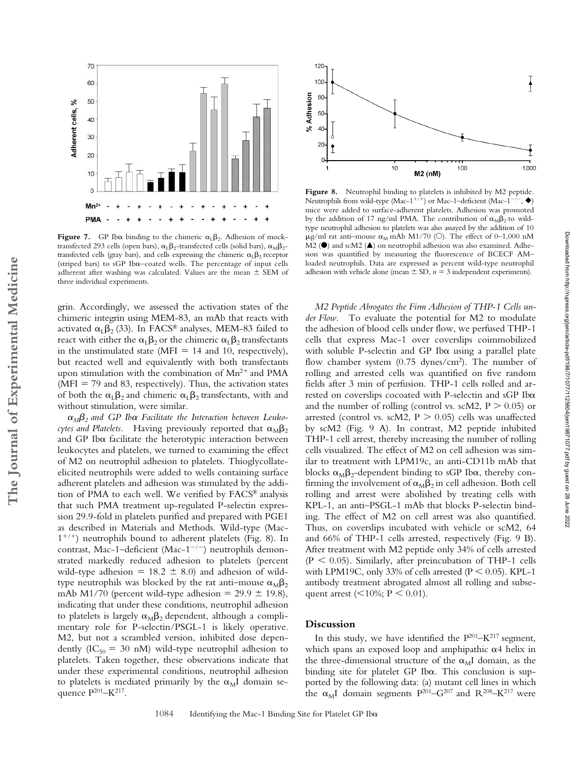

**Figure 7.** GP Ib $\alpha$  binding to the chimeric  $\alpha_L \beta_2$ . Adhesion of mocktransfected 293 cells (open bars),  $\alpha_L \beta_2$ -transfected cells (solid bars),  $\alpha_M \beta_2$ transfected cells (gray bars), and cells expressing the chimeric  $\alpha_L \beta_2$  receptor (striped bars) to sGP Ibo-coated wells. The percentage of input cells adherent after washing was calculated. Values are the mean  $\pm$  SEM of three individual experiments.

grin. Accordingly, we assessed the activation states of the chimeric integrin using MEM-83, an mAb that reacts with activated  $\alpha_{\text{L}}\beta_2$  (33). In FACS® analyses, MEM-83 failed to react with either the  $\alpha_{\text{L}}\beta_2$  or the chimeric  $\alpha_{\text{L}}\beta_2$  transfectants in the unstimulated state (MFI =  $14$  and  $10$ , respectively), but reacted well and equivalently with both transfectants upon stimulation with the combination of  $Mn^{2+}$  and PMA  $(MFI = 79$  and 83, respectively). Thus, the activation states of both the  $\alpha_{L}\beta_{2}$  and chimeric  $\alpha_{L}\beta_{2}$  transfectants, with and without stimulation, were similar.

**The Journal of Experimental Medicine**

The Journal of Experimental Medicine

 $\alpha_{\textit{M}}\beta_2$  and GP Ib $\alpha$  Facilitate the Interaction between Leukocytes and Platelets. Having previously reported that  $\alpha_{\text{M}}\beta_2$ and GP Ib $\alpha$  facilitate the heterotypic interaction between leukocytes and platelets, we turned to examining the effect of M2 on neutrophil adhesion to platelets. Thioglycollateelicited neutrophils were added to wells containing surface adherent platelets and adhesion was stimulated by the addition of PMA to each well. We verified by FACS® analysis that such PMA treatment up-regulated P-selectin expression 29.9-fold in platelets purified and prepared with PGE1 as described in Materials and Methods. Wild-type (Mac- $1^{+/+}$ ) neutrophils bound to adherent platelets (Fig. 8). In contrast, Mac-1-deficient (Mac-1<sup>-/-</sup>) neutrophils demonstrated markedly reduced adhesion to platelets (percent wild-type adhesion =  $18.2 \pm 8.0$ ) and adhesion of wildtype neutrophils was blocked by the rat anti–mouse  $\alpha_{\text{M}}\beta_2$ mAb M1/70 (percent wild-type adhesion =  $29.9 \pm 19.8$ ), indicating that under these conditions, neutrophil adhesion to platelets is largely  $\alpha_{\text{M}}\beta_2$  dependent, although a complimentary role for P-selectin/PSGL-1 is likely operative. M2, but not a scrambled version, inhibited dose dependently (IC<sub>50</sub> = 30 nM) wild-type neutrophil adhesion to platelets. Taken together, these observations indicate that under these experimental conditions, neutrophil adhesion to platelets is mediated primarily by the  $\alpha_M I$  domain sequence P<sup>201</sup>–K<sup>217</sup>.



Figure 8. Neutrophil binding to platelets is inhibited by M2 peptide. Neutrophils from wild-type  $(Mac-1^{+/+)}$  or Mac-1–deficient  $(Mac-1^{-/})$ mice were added to surface-adherent platelets. Adhesion was promoted by the addition of 17 ng/ml PMA. The contribution of  $\alpha_M \beta_2$  to wildtype neutrophil adhesion to platelets was also assayed by the addition of 10  $\mu$ g/ml rat anti-mouse  $\alpha_M$  mAb M1/70 (O). The effect of 0-1,000 nM M2 (<sup>0</sup>) and scM2 ( $\triangle$ ) on neutrophil adhesion was also examined. Adhesion was quantified by measuring the fluorescence of BCECF AM– loaded neutrophils. Data are expressed as percent wild-type neutrophil adhesion with vehicle alone (mean  $\pm$  SD,  $n = 3$  independent experiments).

*M2 Peptide Abrogates the Firm Adhesion of THP-1 Cells under Flow.* To evaluate the potential for M2 to modulate the adhesion of blood cells under flow, we perfused THP-1 cells that express Mac-1 over coverslips coimmobilized with soluble P-selectin and GP Ib $\alpha$  using a parallel plate flow chamber system (0.75 dynes/cm2). The number of rolling and arrested cells was quantified on five random fields after 3 min of perfusion. THP-1 cells rolled and arrested on coverslips cocoated with P-selectin and  $sGP$  Ib $\alpha$ and the number of rolling (control vs. scM2,  $P > 0.05$ ) or arrested (control vs. scM2,  $P > 0.05$ ) cells was unaffected by scM2 (Fig. 9 A). In contrast, M2 peptide inhibited THP-1 cell arrest, thereby increasing the number of rolling cells visualized. The effect of M2 on cell adhesion was similar to treatment with LPM19c, an anti-CD11b mAb that blocks  $\alpha_{\text{M}}\beta_2$ -dependent binding to sGP Ib $\alpha$ , thereby confirming the involvement of  $\alpha_{\text{M}}\beta_2$  in cell adhesion. Both cell rolling and arrest were abolished by treating cells with KPL-1, an anti–PSGL-1 mAb that blocks P-selectin binding. The effect of M2 on cell arrest was also quantified. Thus, on coverslips incubated with vehicle or scM2, 64 and 66% of THP-1 cells arrested, respectively (Fig. 9 B). After treatment with M2 peptide only 34% of cells arrested  $(P < 0.05)$ . Similarly, after preincubation of THP-1 cells with LPM19C, only 33% of cells arrested ( $P \le 0.05$ ). KPL-1 antibody treatment abrogated almost all rolling and subsequent arrest ( $\leq 10\%$ ; P  $\leq 0.01$ ).

## **Discussion**

In this study, we have identified the  $P^{201} – K^{217}$  segment, which spans an exposed loop and amphipathic  $\alpha$ 4 helix in the three-dimensional structure of the  $\alpha_M I$  domain, as the binding site for platelet GP Iba. This conclusion is supported by the following data: (a) mutant cell lines in which the  $\alpha_M I$  domain segments  $P^{201} - G^{207}$  and  $R^{208} - K^{217}$  were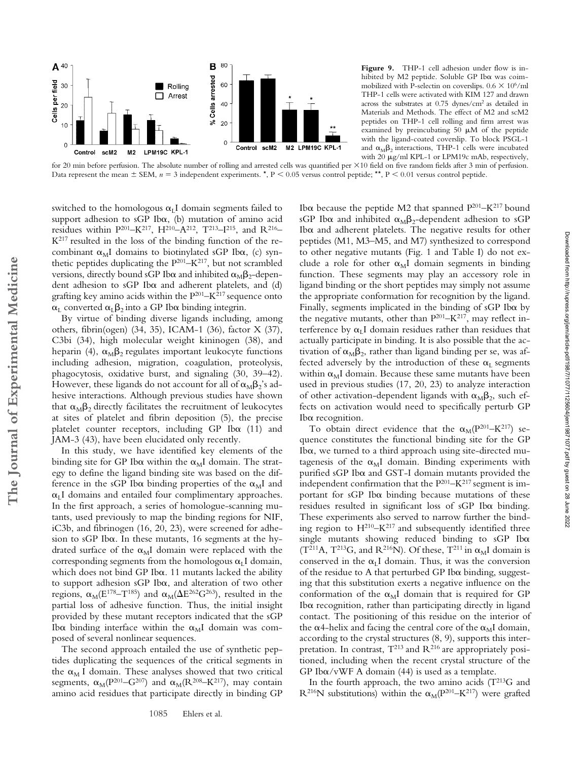

Figure 9. THP-1 cell adhesion under flow is inhibited by M2 peptide. Soluble GP Iba was coimmobilized with P-selectin on coverslips.  $0.6 \times 10^6/\text{ml}$ THP-1 cells were activated with KIM 127 and drawn across the substrates at 0.75 dynes/cm2 as detailed in Materials and Methods. The effect of M2 and scM2 peptides on THP-1 cell rolling and firm arrest was examined by preincubating  $50 \mu M$  of the peptide with the ligand-coated coverslip. To block PSGL-1 and  $\alpha_{\text{M}}\beta_2$  interactions, THP-1 cells were incubated with 20  $\mu$ g/ml KPL-1 or LPM19c mAb, respectively,

for 20 min before perfusion. The absolute number of rolling and arrested cells was quantified per  $\times 10$  field on five random fields after 3 min of perfusion. Data represent the mean  $\pm$  SEM,  $n = 3$  independent experiments. \*, P < 0.05 versus control peptide; \*\*, P < 0.01 versus control peptide.

switched to the homologous  $\alpha_L I$  domain segments failed to support adhesion to sGP Ib $\alpha$ , (b) mutation of amino acid residues within  $P^{201} – K^{217}$ ,  $H^{210} – A^{212}$ ,  $T^{213} – I^{215}$ , and  $R^{216} –$ K217 resulted in the loss of the binding function of the recombinant  $\alpha_M I$  domains to biotinylated sGP Ib $\alpha$ , (c) synthetic peptides duplicating the  $P^{201} - K^{217}$ , but not scrambled versions, directly bound sGP Ib $\alpha$  and inhibited  $\alpha_{\text{M}}\beta_2$ -dependent adhesion to  $sGP$  Ib $\alpha$  and adherent platelets, and (d) grafting key amino acids within the  $P^{201} – K^{217}$  sequence onto  $\alpha$ <sub>L</sub> converted  $\alpha$ <sub>L</sub> $\beta$ <sub>2</sub> into a GP Ib $\alpha$  binding integrin.

By virtue of binding diverse ligands including, among others, fibrin(ogen) (34, 35), ICAM-1 (36), factor X (37), C3bi (34), high molecular weight kininogen (38), and heparin (4),  $\alpha_{\text{M}}\beta_2$  regulates important leukocyte functions including adhesion, migration, coagulation, proteolysis, phagocytosis, oxidative burst, and signaling (30, 39–42). However, these ligands do not account for all of  $\alpha_M \beta_2$ 's adhesive interactions. Although previous studies have shown that  $\alpha_{\text{M}}\beta_2$  directly facilitates the recruitment of leukocytes at sites of platelet and fibrin deposition (5), the precise platelet counter receptors, including  $GP$  Ib $\alpha$  (11) and JAM-3 (43), have been elucidated only recently.

**The Journal of Experimental Medicine**

The Journal of Experimental Medicine

In this study, we have identified key elements of the binding site for GP Ib $\alpha$  within the  $\alpha_M$ I domain. The strategy to define the ligand binding site was based on the difference in the sGP Ib $\alpha$  binding properties of the  $\alpha_M I$  and  $\alpha$ <sub>L</sub>I domains and entailed four complimentary approaches. In the first approach, a series of homologue-scanning mutants, used previously to map the binding regions for NIF, iC3b, and fibrinogen (16, 20, 23), were screened for adhesion to sGP Iba. In these mutants, 16 segments at the hydrated surface of the  $\alpha_M I$  domain were replaced with the corresponding segments from the homologous  $\alpha_L I$  domain, which does not bind GP Ib $\alpha$ . 11 mutants lacked the ability to support adhesion sGP Ib $\alpha$ , and alteration of two other regions,  $\alpha_\text{M}(E^{178}-T^{185})$  and  $\alpha_\text{M}(\Delta E^{262}G^{263})$ , resulted in the partial loss of adhesive function. Thus, the initial insight provided by these mutant receptors indicated that the sGP Ib $\alpha$  binding interface within the  $\alpha_M I$  domain was composed of several nonlinear sequences.

The second approach entailed the use of synthetic peptides duplicating the sequences of the critical segments in the  $\alpha_M$  I domain. These analyses showed that two critical segments,  $\alpha_M(P^{201}-G^{207})$  and  $\alpha_M(R^{208}-K^{217})$ , may contain amino acid residues that participate directly in binding GP

Ib $\alpha$  because the peptide M2 that spanned  $P^{201} - K^{217}$  bound  $\mathrm{sGP}$  Ib $\alpha$  and inhibited  $\alpha_\mathrm{M}\beta_2$ -dependent adhesion to  $\mathrm{sGP}$ Ib $\alpha$  and adherent platelets. The negative results for other peptides (M1, M3–M5, and M7) synthesized to correspond to other negative mutants (Fig. 1 and Table I) do not exclude a role for other  $\alpha_M I$  domain segments in binding function. These segments may play an accessory role in ligand binding or the short peptides may simply not assume the appropriate conformation for recognition by the ligand. Finally, segments implicated in the binding of  $sGP$  Ib $\alpha$  by the negative mutants, other than  $P^{201} - K^{217}$ , may reflect interference by  $\alpha_L I$  domain residues rather than residues that actually participate in binding. It is also possible that the activation of  $\alpha_M \beta_2$ , rather than ligand binding per se, was affected adversely by the introduction of these  $\alpha_L$  segments within  $\alpha$ <sub>M</sub>I domain. Because these same mutants have been used in previous studies (17, 20, 23) to analyze interaction of other activation-dependent ligands with  $\alpha_M\beta_2$ , such effects on activation would need to specifically perturb GP Iba recognition.

To obtain direct evidence that the  $\alpha_M(P^{201}-K^{217})$  sequence constitutes the functional binding site for the GP Iba, we turned to a third approach using site-directed mutagenesis of the  $\alpha_M I$  domain. Binding experiments with purified sGP Ib $\alpha$  and GST-I domain mutants provided the independent confirmation that the  $P^{201} - K^{217}$  segment is important for sGP Ib $\alpha$  binding because mutations of these residues resulted in significant loss of sGP Iba binding. These experiments also served to narrow further the binding region to  $H^{210} - K^{217}$  and subsequently identified three single mutants showing reduced binding to  $sGP$  Ib $\alpha$  $(T^{211}A, T^{213}G,$  and  $R^{216}N$ ). Of these,  $T^{211}$  in  $\alpha_M I$  domain is conserved in the  $\alpha_L I$  domain. Thus, it was the conversion of the residue to A that perturbed GP Iba binding, suggesting that this substitution exerts a negative influence on the conformation of the  $\alpha_M I$  domain that is required for GP Iba recognition, rather than participating directly in ligand contact. The positioning of this residue on the interior of the  $\alpha$ 4-helix and facing the central core of the  $\alpha_M$ I domain, according to the crystal structures (8, 9), supports this interpretation. In contrast,  $T^{213}$  and  $R^{216}$  are appropriately positioned, including when the recent crystal structure of the GP Ib $\alpha$ /vWF A domain (44) is used as a template.

In the fourth approach, the two amino acids  $(T^{213}G$  and  $R^{216}N$  substitutions) within the  $\alpha_M(P^{201}-K^{217})$  were grafted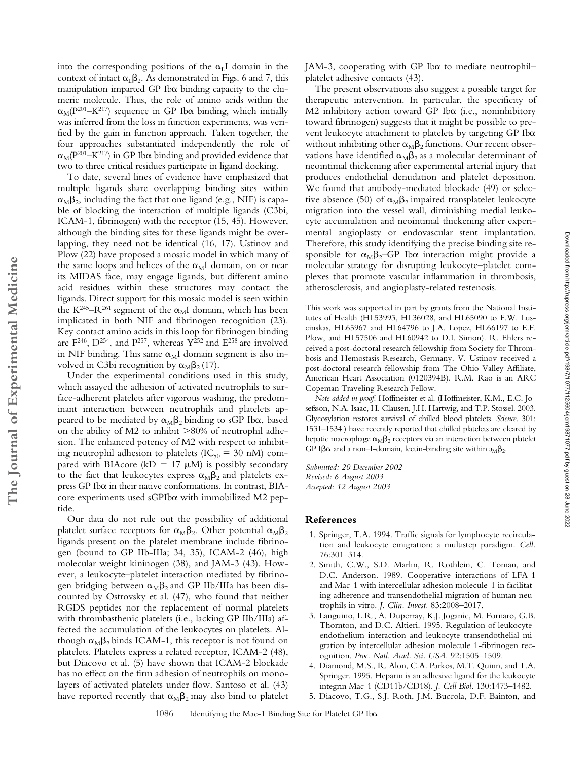into the corresponding positions of the  $\alpha_L I$  domain in the context of intact  $\alpha_L \beta_2$ . As demonstrated in Figs. 6 and 7, this manipulation imparted GP Ib $\alpha$  binding capacity to the chimeric molecule. Thus, the role of amino acids within the  $\alpha_M(P^{201}-K^{217})$  sequence in GP Ib $\alpha$  binding, which initially was inferred from the loss in function experiments, was verified by the gain in function approach. Taken together, the four approaches substantiated independently the role of  $\alpha_{\text{M}}(\text{P}^{201}\text{--}\text{K}^{217})$  in GP Ib $\alpha$  binding and provided evidence that two to three critical residues participate in ligand docking.

To date, several lines of evidence have emphasized that multiple ligands share overlapping binding sites within  $\alpha_M \beta_2$ , including the fact that one ligand (e.g., NIF) is capable of blocking the interaction of multiple ligands (C3bi, ICAM-1, fibrinogen) with the receptor (15, 45). However, although the binding sites for these ligands might be overlapping, they need not be identical (16, 17). Ustinov and Plow (22) have proposed a mosaic model in which many of the same loops and helices of the  $\alpha_M I$  domain, on or near its MIDAS face, may engage ligands, but different amino acid residues within these structures may contact the ligands. Direct support for this mosaic model is seen within the K<sup>245</sup>–R<sup>261</sup> segment of the  $\alpha_M I$  domain, which has been implicated in both NIF and fibrinogen recognition (23). Key contact amino acids in this loop for fibrinogen binding are F<sup>246</sup>, D<sup>254</sup>, and P<sup>257</sup>, whereas Y<sup>252</sup> and E<sup>258</sup> are involved in NIF binding. This same  $\alpha_M I$  domain segment is also involved in C3bi recognition by  $\alpha_{\text{M}}\beta_2$  (17).

Under the experimental conditions used in this study, which assayed the adhesion of activated neutrophils to surface-adherent platelets after vigorous washing, the predominant interaction between neutrophils and platelets appeared to be mediated by  $\alpha_{\text{M}}\beta_2$  binding to sGP Ib $\alpha$ , based on the ability of M2 to inhibit  $>80\%$  of neutrophil adhesion. The enhanced potency of M2 with respect to inhibiting neutrophil adhesion to platelets ( $IC_{50} = 30$  nM) compared with BIAcore (kD = 17  $\mu$ M) is possibly secondary to the fact that leukocytes express  $\alpha_M \beta_2$  and platelets express GP Ib $\alpha$  in their native conformations. In contrast, BIAcore experiments used sGPIba with immobilized M2 peptide.

**The Journal of Experimental Medicine**

The Journal of Experimental Medicine

Our data do not rule out the possibility of additional platelet surface receptors for  $\alpha_{\text{M}}\beta_2$ . Other potential  $\alpha_{\text{M}}\beta_2$ ligands present on the platelet membrane include fibrinogen (bound to GP IIb-IIIa; 34, 35), ICAM-2 (46), high molecular weight kininogen (38), and JAM-3 (43). However, a leukocyte–platelet interaction mediated by fibrinogen bridging between  $\alpha_{\text{M}}\beta_2$  and GP IIb/IIIa has been discounted by Ostrovsky et al. (47), who found that neither RGDS peptides nor the replacement of normal platelets with thrombasthenic platelets (i.e., lacking GP IIb/IIIa) affected the accumulation of the leukocytes on platelets. Although  $\alpha_{\rm M} \beta_2$  binds ICAM-1, this receptor is not found on platelets. Platelets express a related receptor, ICAM-2 (48), but Diacovo et al. (5) have shown that ICAM-2 blockade has no effect on the firm adhesion of neutrophils on monolayers of activated platelets under flow. Santoso et al. (43) have reported recently that  $\alpha_{\text{M}}\beta_2$  may also bind to platelet

JAM-3, cooperating with GP Iba to mediate neutrophilplatelet adhesive contacts (43).

The present observations also suggest a possible target for therapeutic intervention. In particular, the specificity of M2 inhibitory action toward GP Iba (i.e., noninhibitory toward fibrinogen) suggests that it might be possible to prevent leukocyte attachment to platelets by targeting GP Ib $\alpha$ without inhibiting other  $\alpha_{\rm M} \beta_2$  functions. Our recent observations have identified  $\alpha_{\text{M}}\beta_2$  as a molecular determinant of neointimal thickening after experimental arterial injury that produces endothelial denudation and platelet deposition. We found that antibody-mediated blockade (49) or selective absence (50) of  $\alpha_{\text{M}}\beta_2$  impaired transplatelet leukocyte migration into the vessel wall, diminishing medial leukocyte accumulation and neointimal thickening after experimental angioplasty or endovascular stent implantation. Therefore, this study identifying the precise binding site responsible for  $\alpha_M \beta_2$ -GP Ib $\alpha$  interaction might provide a molecular strategy for disrupting leukocyte–platelet complexes that promote vascular inflammation in thrombosis, atherosclerosis, and angioplasty-related restenosis.

This work was supported in part by grants from the National Institutes of Health (HL53993, HL36028, and HL65090 to F.W. Luscinskas, HL65967 and HL64796 to J.A. Lopez, HL66197 to E.F. Plow, and HL57506 and HL60942 to D.I. Simon). R. Ehlers received a post-doctoral research fellowship from Society for Thrombosis and Hemostasis Research, Germany. V. Ustinov received a post-doctoral research fellowship from The Ohio Valley Affiliate, American Heart Association (0120394B). R.M. Rao is an ARC Copeman Traveling Research Fellow.

*Note added in proof.* Hoffmeister et al. (Hoffmeister, K.M., E.C. Josefsson, N.A. Isaac, H. Clausen, J.H. Hartwig, and T.P. Stossel. 2003. Glycosylation restores survival of chilled blood platelets. *Science*. 301: 1531–1534.) have recently reported that chilled platelets are cleared by hepatic macrophage  $\alpha_{\text{M}}\beta_2$  receptors via an interaction between platelet GP I $\beta\alpha$  and a non–I-domain, lectin-binding site within  $a_{M}\beta_{2}$ .

*Submitted: 20 December 2002 Revised: 6 August 2003 Accepted: 12 August 2003*

### **References**

- 1. Springer, T.A. 1994. Traffic signals for lymphocyte recirculation and leukocyte emigration: a multistep paradigm. *Cell.* 76:301–314.
- 2. Smith, C.W., S.D. Marlin, R. Rothlein, C. Toman, and D.C. Anderson. 1989. Cooperative interactions of LFA-1 and Mac-1 with intercellular adhesion molecule-1 in facilitating adherence and transendothelial migration of human neutrophils in vitro. *J. Clin. Invest.* 83:2008–2017.
- 3. Languino, L.R., A. Duperray, K.J. Joganic, M. Fornaro, G.B. Thornton, and D.C. Altieri. 1995. Regulation of leukocyteendothelium interaction and leukocyte transendothelial migration by intercellular adhesion molecule 1-fibrinogen recognition. *Proc. Natl. Acad. Sci. USA.* 92:1505–1509.
- 4. Diamond, M.S., R. Alon, C.A. Parkos, M.T. Quinn, and T.A. Springer. 1995. Heparin is an adhesive ligand for the leukocyte integrin Mac-1 (CD11b/CD18). *J. Cell Biol.* 130:1473–1482.
- 5. Diacovo, T.G., S.J. Roth, J.M. Buccola, D.F. Bainton, and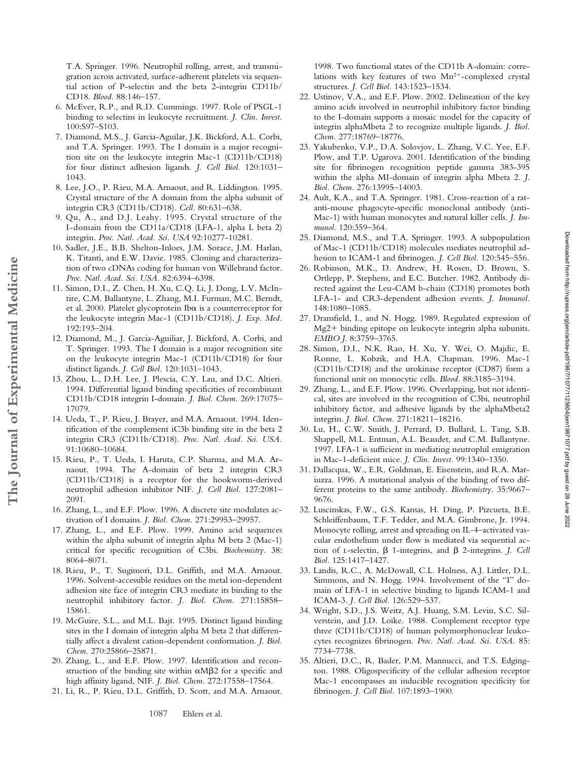T.A. Springer. 1996. Neutrophil rolling, arrest, and transmigration across activated, surface-adherent platelets via sequential action of P-selectin and the beta 2-integrin CD11b/ CD18. *Blood.* 88:146–157.

- 6. McEver, R.P., and R.D. Cummings. 1997. Role of PSGL-1 binding to selectins in leukocyte recruitment. *J. Clin. Invest.* 100:S97–S103.
- 7. Diamond, M.S., J. Garcia-Aguilar, J.K. Bickford, A.L. Corbi, and T.A. Springer. 1993. The I domain is a major recognition site on the leukocyte integrin Mac-1 (CD11b/CD18) for four distinct adhesion ligands. *J. Cell Biol.* 120:1031– 1043.
- 8. Lee, J.O., P. Rieu, M.A. Arnaout, and R. Liddington. 1995. Crystal structure of the A domain from the alpha subunit of integrin CR3 (CD11b/CD18). *Cell.* 80:631–638.
- 9. Qu, A., and D.J. Leahy. 1995. Crystal structure of the I-domain from the CD11a/CD18 (LFA-1, alpha L beta 2) integrin. *Proc. Natl. Acad. Sci. USA* 92:10277-10281.
- 10. Sadler, J.E., B.B. Shelton-Inloes, J.M. Sorace, J.M. Harlan, K. Titanti, and E.W. Davie. 1985. Cloning and characterization of two cDNAs coding for human von Willebrand factor. *Proc. Natl. Acad. Sci. USA.* 82:6394–6398.
- 11. Simon, D.I., Z. Chen, H. Xu, C.Q. Li, J. Dong, L.V. McIntire, C.M. Ballantyne, L. Zhang, M.I. Furman, M.C. Berndt, et al. 2000. Platelet glycoprotein Ib $\alpha$  is a counterreceptor for the leukocyte integrin Mac-1 (CD11b/CD18). *J. Exp. Med.* 192:193–204.
- 12. Diamond, M., J. Garcia-Aguiliar, J. Bickford, A. Corbi, and T. Springer. 1993. The I domain is a major recognition site on the leukocyte integrin Mac-1 (CD11b/CD18) for four distinct ligands. *J. Cell Biol.* 120:1031–1043.
- 13. Zhou, L., D.H. Lee, J. Plescia, C.Y. Lau, and D.C. Altieri. 1994. Differential ligand binding specificities of recombinant CD11b/CD18 integrin I-domain. *J. Biol. Chem.* 269:17075– 17079.

**The Journal of Experimental Medicine**

The Journal of Experimental Medicine

- 14. Ueda, T., P. Rieu, J. Brayer, and M.A. Arnaout. 1994. Identification of the complement iC3b binding site in the beta 2 integrin CR3 (CD11b/CD18). *Proc. Natl. Acad. Sci. USA.* 91:10680–10684.
- 15. Rieu, P., T. Ueda, I. Haruta, C.P. Sharma, and M.A. Arnaout. 1994. The A-domain of beta 2 integrin CR3 (CD11b/CD18) is a receptor for the hookworm-derived neutrophil adhesion inhibitor NIF. *J. Cell Biol.* 127:2081– 2091.
- 16. Zhang, L., and E.F. Plow. 1996. A discrete site modulates activation of I domains. *J. Biol. Chem.* 271:29953–29957.
- 17. Zhang, L., and E.F. Plow. 1999. Amino acid sequences within the alpha subunit of integrin alpha M beta 2 (Mac-1) critical for specific recognition of C3bi. *Biochemistry.* 38: 8064–8071.
- 18. Rieu, P., T. Sugimori, D.L. Griffith, and M.A. Arnaout. 1996. Solvent-accessible residues on the metal ion-dependent adhesion site face of integrin CR3 mediate its binding to the neutrophil inhibitory factor. *J. Biol. Chem.* 271:15858– 15861.
- 19. McGuire, S.L., and M.L. Bajt. 1995. Distinct ligand binding sites in the I domain of integrin alpha M beta 2 that differentially affect a divalent cation-dependent conformation. *J. Biol. Chem.* 270:25866–25871.
- 20. Zhang, L., and E.F. Plow. 1997. Identification and reconstruction of the binding site within  $\alpha M\beta 2$  for a specific and high affinity ligand, NIF. *J. Biol. Chem.* 272:17558–17564.
- 21. Li, R., P. Rieu, D.L. Griffith, D. Scott, and M.A. Arnaout.

1998. Two functional states of the CD11b A-domain: correlations with key features of two  $Mn^{2+}$ -complexed crystal structures. *J. Cell Biol.* 143:1523–1534.

- 22. Ustinov, V.A., and E.F. Plow. 2002. Delineation of the key amino acids involved in neutrophil inhibitory factor binding to the I-domain supports a mosaic model for the capacity of integrin alphaMbeta 2 to recognize multiple ligands. *J. Biol. Chem.* 277:18769–18776.
- 23. Yakubenko, V.P., D.A. Solovjov, L. Zhang, V.C. Yee, E.F. Plow, and T.P. Ugarova. 2001. Identification of the binding site for fibrinogen recognition peptide gamma 383-395 within the alpha MI-domain of integrin alpha Mbeta 2. *J. Biol. Chem.* 276:13995–14003.
- 24. Ault, K.A., and T.A. Springer. 1981. Cross-reaction of a ratanti-mouse phagocyte-specific monoclonal antibody (anti-Mac-1) with human monocytes and natural killer cells. *J. Immunol.* 120:359–364.
- 25. Diamond, M.S., and T.A. Springer. 1993. A subpopulation of Mac-1 (CD11b/CD18) molecules mediates neutrophil adhesion to ICAM-1 and fibrinogen. *J. Cell Biol.* 120:545–556.
- 26. Robinson, M.K., D. Andrew, H. Rosen, D. Brown, S. Ortlepp, P. Stephens, and E.C. Butcher. 1982. Antibody directed against the Leu-CAM b-chain (CD18) promotes both LFA-1- and CR3-dependent adhesion events. *J. Immunol.* 148:1080–1085.
- 27. Dransfield, I., and N. Hogg. 1989. Regulated expression of Mg2+ binding epitope on leukocyte integrin alpha subunits. *EMBO J.* 8:3759–3765.
- 28. Simon, D.I., N.K. Rao, H. Xu, Y. Wei, O. Majdic, E. Ronne, L. Kobzik, and H.A. Chapman. 1996. Mac-1 (CD11b/CD18) and the urokinase receptor (CD87) form a functional unit on monocytic cells. *Blood.* 88:3185–3194.
- 29. Zhang, L., and E.F. Plow. 1996. Overlapping, but not identical, sites are involved in the recognition of C3bi, neutrophil inhibitory factor, and adhesive ligands by the alphaMbeta2 integrin. *J. Biol. Chem.* 271:18211–18216.
- 30. Lu, H., C.W. Smith, J. Perrard, D. Bullard, L. Tang, S.B. Shappell, M.L. Entman, A.L. Beaudet, and C.M. Ballantyne. 1997. LFA-1 is sufficient in mediating neutrophil emigration in Mac-1-deficient mice. *J. Clin. Invest.* 99:1340–1350.
- 31. Dallacqua, W., E.R. Goldman, E. Eisenstein, and R.A. Mariuzza. 1996. A mutational analysis of the binding of two different proteins to the same antibody. *Biochemistry.* 35:9667– 9676.
- 32. Luscinskas, F.W., G.S. Kansas, H. Ding, P. Pizcueta, B.E. Schleiffenbaum, T.F. Tedder, and M.A. Gimbrone, Jr. 1994. Monocyte rolling, arrest and spreading on IL-4–activated vascular endothelium under flow is mediated via sequential action of *L*-selectin,  $\beta$  1-integrins, and  $\beta$  2-integrins. *J. Cell Biol.* 125:1417–1427.
- 33. Landis, R.C., A. McDowall, C.L. Holness, A.J. Littler, D.L. Simmons, and N. Hogg. 1994. Involvement of the "I" domain of LFA-1 in selective binding to ligands ICAM-1 and ICAM-3. *J. Cell Biol.* 126:529–537.
- 34. Wright, S.D., J.S. Weitz, A.J. Huang, S.M. Levin, S.C. Silverstein, and J.D. Loike. 1988. Complement receptor type three (CD11b/CD18) of human polymorphonuclear leukocytes recognizes fibrinogen. *Proc. Natl. Acad. Sci. USA.* 85: 7734–7738.
- 35. Altieri, D.C., R. Bader, P.M. Mannucci, and T.S. Edgington. 1988. Oligospecificity of the cellular adhesion receptor Mac-1 encompasses an inducible recognition specificity for fibrinogen. *J. Cell Biol.* 107:1893–1900.